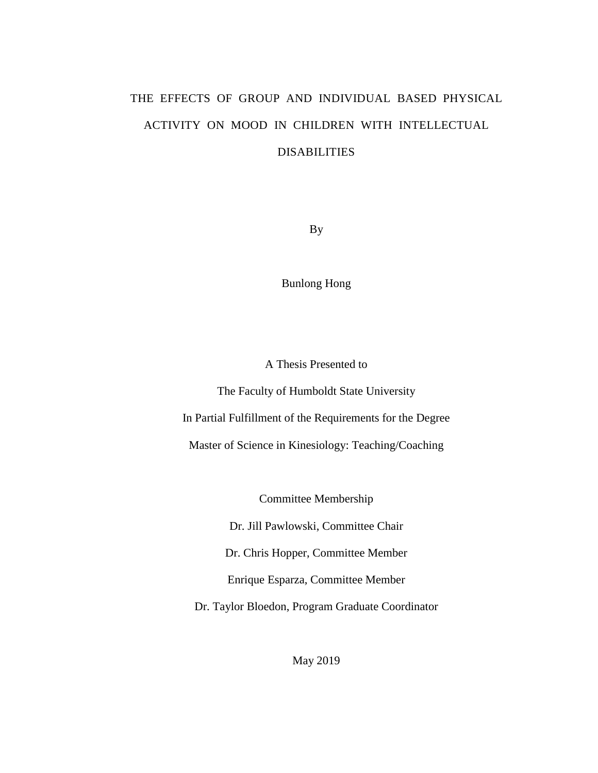# THE EFFECTS OF GROUP AND INDIVIDUAL BASED PHYSICAL ACTIVITY ON MOOD IN CHILDREN WITH INTELLECTUAL DISABILITIES

By

Bunlong Hong

A Thesis Presented to

The Faculty of Humboldt State University In Partial Fulfillment of the Requirements for the Degree Master of Science in Kinesiology: Teaching/Coaching

Committee Membership

Dr. Jill Pawlowski, Committee Chair

Dr. Chris Hopper, Committee Member

Enrique Esparza, Committee Member

Dr. Taylor Bloedon, Program Graduate Coordinator

May 2019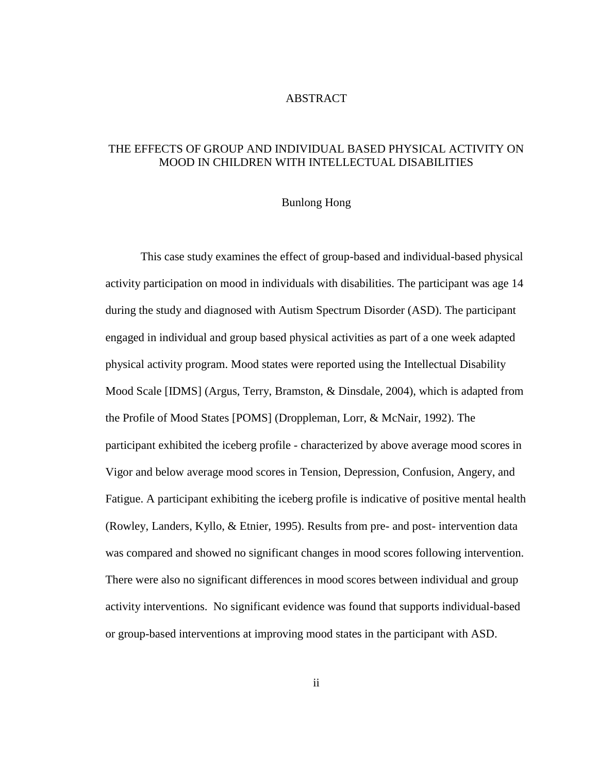# ABSTRACT

# <span id="page-1-0"></span>THE EFFECTS OF GROUP AND INDIVIDUAL BASED PHYSICAL ACTIVITY ON MOOD IN CHILDREN WITH INTELLECTUAL DISABILITIES

## Bunlong Hong

This case study examines the effect of group-based and individual-based physical activity participation on mood in individuals with disabilities. The participant was age 14 during the study and diagnosed with Autism Spectrum Disorder (ASD). The participant engaged in individual and group based physical activities as part of a one week adapted physical activity program. Mood states were reported using the Intellectual Disability Mood Scale [IDMS] (Argus, Terry, Bramston, & Dinsdale, 2004), which is adapted from the Profile of Mood States [POMS] (Droppleman, Lorr, & McNair, 1992). The participant exhibited the iceberg profile - characterized by above average mood scores in Vigor and below average mood scores in Tension, Depression, Confusion, Angery, and Fatigue. A participant exhibiting the iceberg profile is indicative of positive mental health (Rowley, Landers, Kyllo, & Etnier, 1995). Results from pre- and post- intervention data was compared and showed no significant changes in mood scores following intervention. There were also no significant differences in mood scores between individual and group activity interventions. No significant evidence was found that supports individual-based or group-based interventions at improving mood states in the participant with ASD.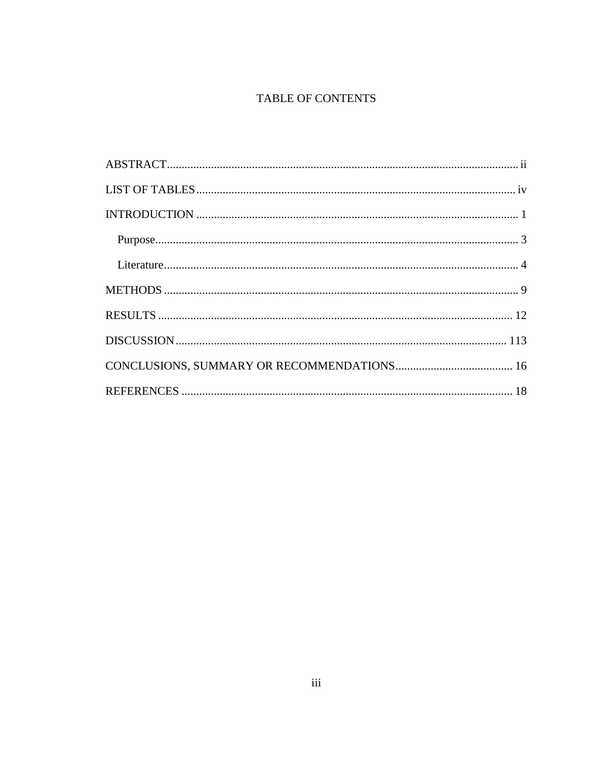# TABLE OF CONTENTS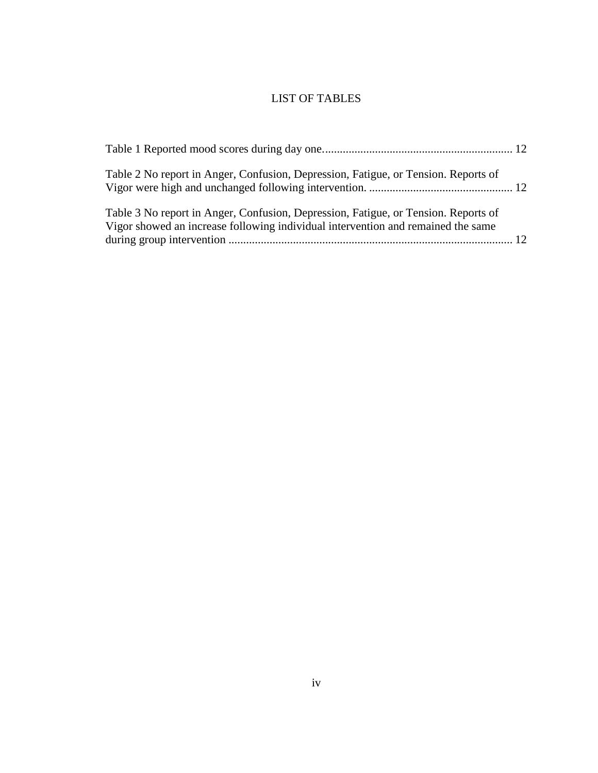# LIST OF TABLES

<span id="page-3-0"></span>

| Table 2 No report in Anger, Confusion, Depression, Fatigue, or Tension. Reports of                                                                                     |  |
|------------------------------------------------------------------------------------------------------------------------------------------------------------------------|--|
| Table 3 No report in Anger, Confusion, Depression, Fatigue, or Tension. Reports of<br>Vigor showed an increase following individual intervention and remained the same |  |
|                                                                                                                                                                        |  |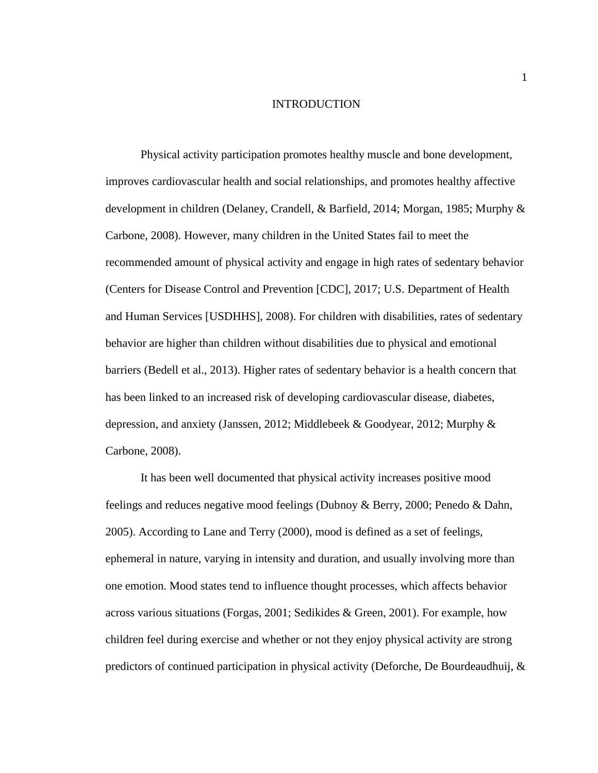#### INTRODUCTION

<span id="page-4-1"></span><span id="page-4-0"></span>Physical activity participation promotes healthy muscle and bone development, improves cardiovascular health and social relationships, and promotes healthy affective development in children (Delaney, Crandell, & Barfield, 2014; Morgan, 1985; Murphy & Carbone, 2008). However, many children in the United States fail to meet the recommended amount of physical activity and engage in high rates of sedentary behavior (Centers for Disease Control and Prevention [CDC], 2017; U.S. Department of Health and Human Services [USDHHS], 2008). For children with disabilities, rates of sedentary behavior are higher than children without disabilities due to physical and emotional barriers (Bedell et al., 2013). Higher rates of sedentary behavior is a health concern that has been linked to an increased risk of developing cardiovascular disease, diabetes, depression, and anxiety (Janssen, 2012; Middlebeek & Goodyear, 2012; Murphy & Carbone, 2008).

It has been well documented that physical activity increases positive mood feelings and reduces negative mood feelings (Dubnoy & Berry, 2000; Penedo & Dahn, 2005). According to Lane and Terry (2000), mood is defined as a set of feelings, ephemeral in nature, varying in intensity and duration, and usually involving more than one emotion. Mood states tend to influence thought processes, which affects behavior across various situations (Forgas, 2001; Sedikides & Green, 2001). For example, how children feel during exercise and whether or not they enjoy physical activity are strong predictors of continued participation in physical activity (Deforche, De Bourdeaudhuij, &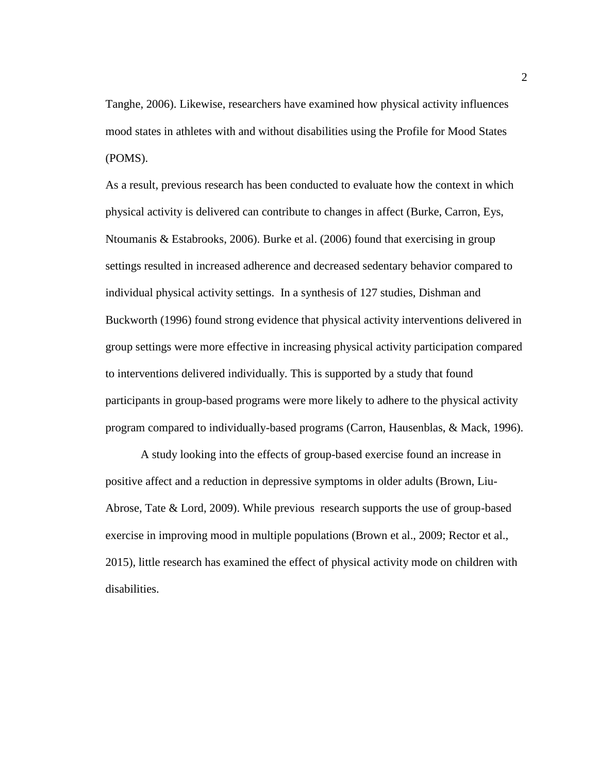Tanghe, 2006). Likewise, researchers have examined how physical activity influences mood states in athletes with and without disabilities using the Profile for Mood States (POMS).

As a result, previous research has been conducted to evaluate how the context in which physical activity is delivered can contribute to changes in affect (Burke, Carron, Eys, Ntoumanis & Estabrooks, 2006). Burke et al. (2006) found that exercising in group settings resulted in increased adherence and decreased sedentary behavior compared to individual physical activity settings. In a synthesis of 127 studies, Dishman and Buckworth (1996) found strong evidence that physical activity interventions delivered in group settings were more effective in increasing physical activity participation compared to interventions delivered individually. This is supported by a study that found participants in group-based programs were more likely to adhere to the physical activity program compared to individually-based programs (Carron, Hausenblas, & Mack, 1996).

A study looking into the effects of group-based exercise found an increase in positive affect and a reduction in depressive symptoms in older adults (Brown, Liu-Abrose, Tate & Lord, 2009). While previous research supports the use of group-based exercise in improving mood in multiple populations (Brown et al., 2009; Rector et al., 2015), little research has examined the effect of physical activity mode on children with disabilities.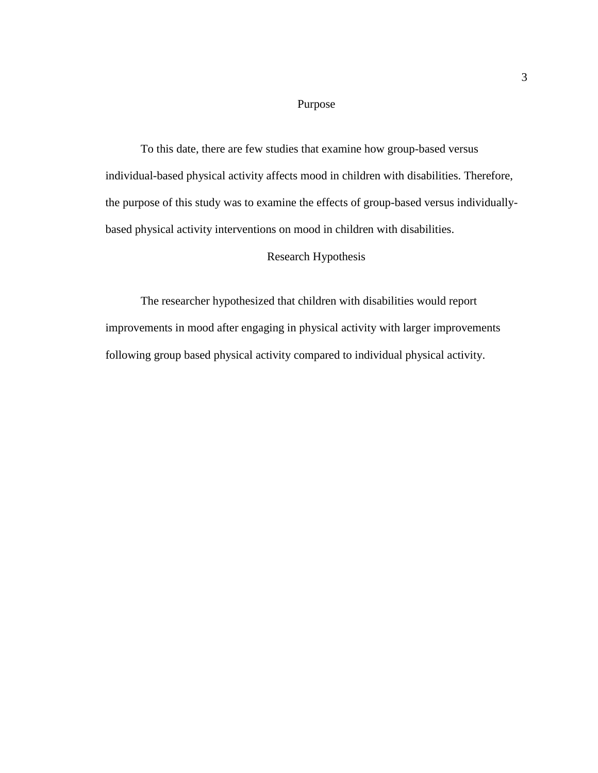# Purpose

To this date, there are few studies that examine how group-based versus individual-based physical activity affects mood in children with disabilities. Therefore, the purpose of this study was to examine the effects of group-based versus individuallybased physical activity interventions on mood in children with disabilities.

## Research Hypothesis

The researcher hypothesized that children with disabilities would report improvements in mood after engaging in physical activity with larger improvements following group based physical activity compared to individual physical activity.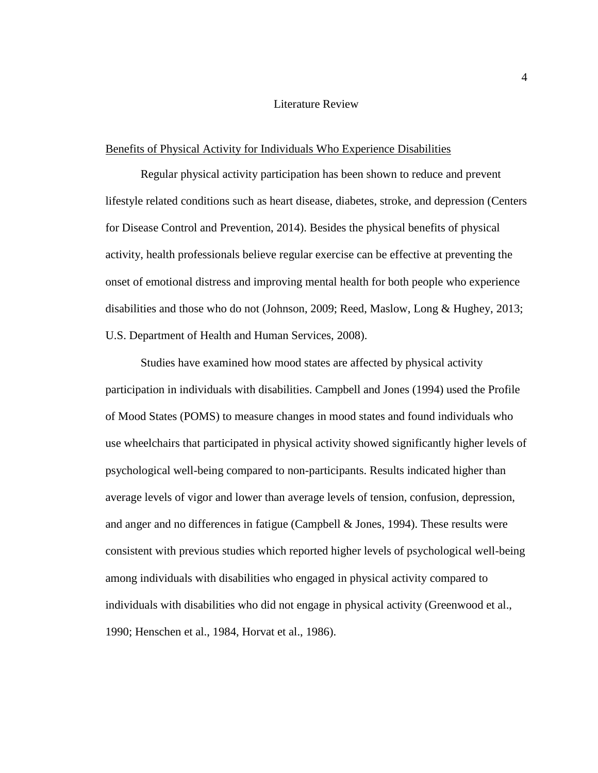#### Literature Review

#### Benefits of Physical Activity for Individuals Who Experience Disabilities

Regular physical activity participation has been shown to reduce and prevent lifestyle related conditions such as heart disease, diabetes, stroke, and depression (Centers for Disease Control and Prevention, 2014). Besides the physical benefits of physical activity, health professionals believe regular exercise can be effective at preventing the onset of emotional distress and improving mental health for both people who experience disabilities and those who do not (Johnson, 2009; Reed, Maslow, Long & Hughey, 2013; U.S. Department of Health and Human Services, 2008).

Studies have examined how mood states are affected by physical activity participation in individuals with disabilities. Campbell and Jones (1994) used the Profile of Mood States (POMS) to measure changes in mood states and found individuals who use wheelchairs that participated in physical activity showed significantly higher levels of psychological well-being compared to non-participants. Results indicated higher than average levels of vigor and lower than average levels of tension, confusion, depression, and anger and no differences in fatigue (Campbell & Jones, 1994). These results were consistent with previous studies which reported higher levels of psychological well-being among individuals with disabilities who engaged in physical activity compared to individuals with disabilities who did not engage in physical activity (Greenwood et al., 1990; Henschen et al., 1984, Horvat et al., 1986).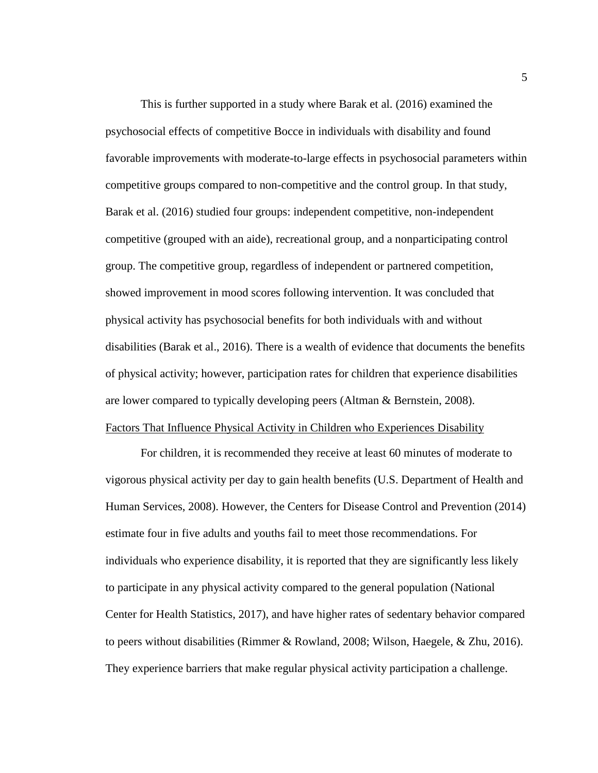This is further supported in a study where Barak et al. (2016) examined the psychosocial effects of competitive Bocce in individuals with disability and found favorable improvements with moderate-to-large effects in psychosocial parameters within competitive groups compared to non-competitive and the control group. In that study, Barak et al. (2016) studied four groups: independent competitive, non-independent competitive (grouped with an aide), recreational group, and a nonparticipating control group. The competitive group, regardless of independent or partnered competition, showed improvement in mood scores following intervention. It was concluded that physical activity has psychosocial benefits for both individuals with and without disabilities (Barak et al., 2016). There is a wealth of evidence that documents the benefits of physical activity; however, participation rates for children that experience disabilities are lower compared to typically developing peers (Altman & Bernstein, 2008). Factors That Influence Physical Activity in Children who Experiences Disability

For children, it is recommended they receive at least 60 minutes of moderate to vigorous physical activity per day to gain health benefits (U.S. Department of Health and Human Services, 2008). However, the Centers for Disease Control and Prevention (2014) estimate four in five adults and youths fail to meet those recommendations. For individuals who experience disability, it is reported that they are significantly less likely to participate in any physical activity compared to the general population (National Center for Health Statistics, 2017), and have higher rates of sedentary behavior compared to peers without disabilities (Rimmer & Rowland, 2008; Wilson, Haegele, & Zhu, 2016). They experience barriers that make regular physical activity participation a challenge.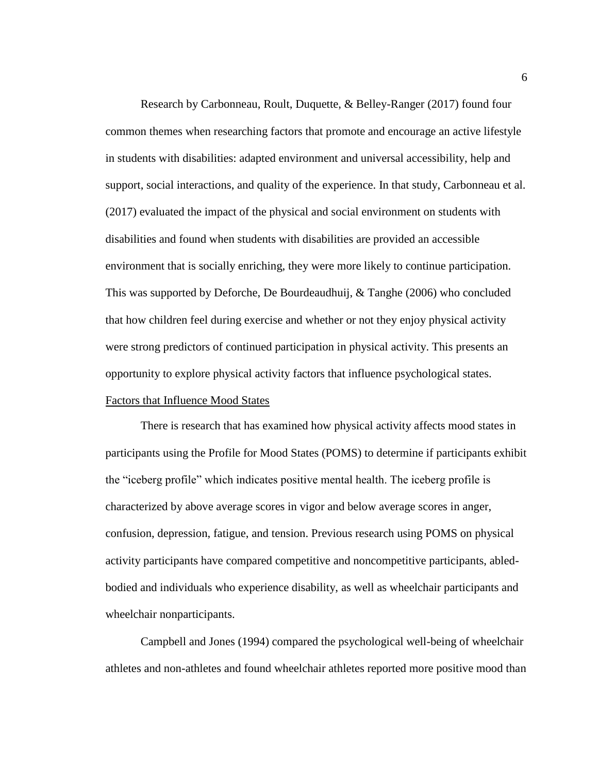Research by Carbonneau, Roult, Duquette, & Belley-Ranger (2017) found four common themes when researching factors that promote and encourage an active lifestyle in students with disabilities: adapted environment and universal accessibility, help and support, social interactions, and quality of the experience. In that study, Carbonneau et al. (2017) evaluated the impact of the physical and social environment on students with disabilities and found when students with disabilities are provided an accessible environment that is socially enriching, they were more likely to continue participation. This was supported by Deforche, De Bourdeaudhuij, & Tanghe (2006) who concluded that how children feel during exercise and whether or not they enjoy physical activity were strong predictors of continued participation in physical activity. This presents an opportunity to explore physical activity factors that influence psychological states.

# Factors that Influence Mood States

There is research that has examined how physical activity affects mood states in participants using the Profile for Mood States (POMS) to determine if participants exhibit the "iceberg profile" which indicates positive mental health. The iceberg profile is characterized by above average scores in vigor and below average scores in anger, confusion, depression, fatigue, and tension. Previous research using POMS on physical activity participants have compared competitive and noncompetitive participants, abledbodied and individuals who experience disability, as well as wheelchair participants and wheelchair nonparticipants.

Campbell and Jones (1994) compared the psychological well-being of wheelchair athletes and non-athletes and found wheelchair athletes reported more positive mood than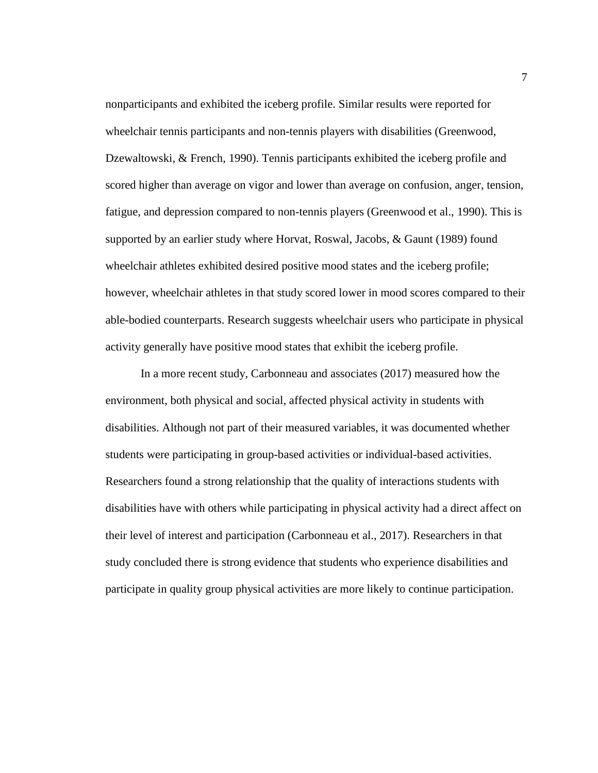nonparticipants and exhibited the iceberg profile. Similar results were reported for wheelchair tennis participants and non-tennis players with disabilities (Greenwood, Dzewaltowski, & French, 1990). Tennis participants exhibited the iceberg profile and scored higher than average on vigor and lower than average on confusion, anger, tension, fatigue, and depression compared to non-tennis players (Greenwood et al., 1990). This is supported by an earlier study where Horvat, Roswal, Jacobs, & Gaunt (1989) found wheelchair athletes exhibited desired positive mood states and the iceberg profile; however, wheelchair athletes in that study scored lower in mood scores compared to their able-bodied counterparts. Research suggests wheelchair users who participate in physical activity generally have positive mood states that exhibit the iceberg profile.

In a more recent study, Carbonneau and associates (2017) measured how the environment, both physical and social, affected physical activity in students with disabilities. Although not part of their measured variables, it was documented whether students were participating in group-based activities or individual-based activities. Researchers found a strong relationship that the quality of interactions students with disabilities have with others while participating in physical activity had a direct affect on their level of interest and participation (Carbonneau et al., 2017). Researchers in that study concluded there is strong evidence that students who experience disabilities and participate in quality group physical activities are more likely to continue participation.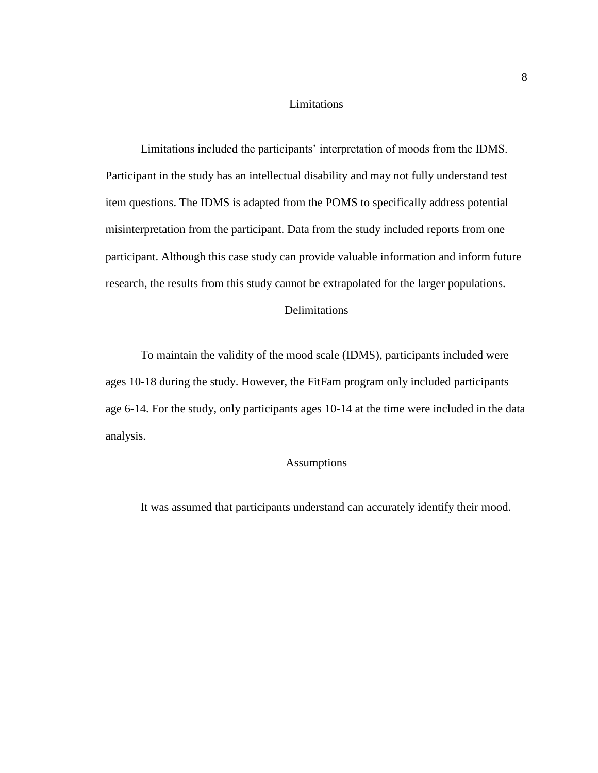# Limitations

Limitations included the participants' interpretation of moods from the IDMS. Participant in the study has an intellectual disability and may not fully understand test item questions. The IDMS is adapted from the POMS to specifically address potential misinterpretation from the participant. Data from the study included reports from one participant. Although this case study can provide valuable information and inform future research, the results from this study cannot be extrapolated for the larger populations.

# Delimitations

To maintain the validity of the mood scale (IDMS), participants included were ages 10-18 during the study. However, the FitFam program only included participants age 6-14. For the study, only participants ages 10-14 at the time were included in the data analysis.

# Assumptions

It was assumed that participants understand can accurately identify their mood.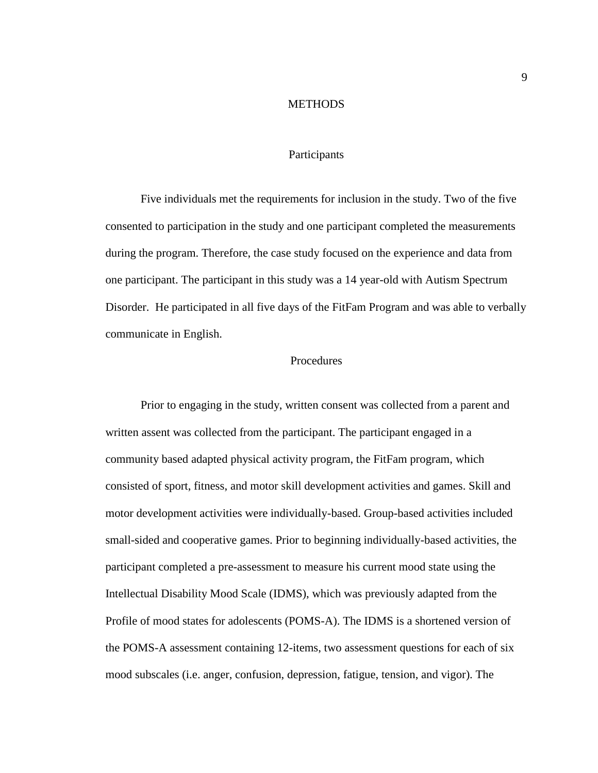#### **METHODS**

## Participants

<span id="page-12-0"></span>Five individuals met the requirements for inclusion in the study. Two of the five consented to participation in the study and one participant completed the measurements during the program. Therefore, the case study focused on the experience and data from one participant. The participant in this study was a 14 year-old with Autism Spectrum Disorder. He participated in all five days of the FitFam Program and was able to verbally communicate in English.

# Procedures

Prior to engaging in the study, written consent was collected from a parent and written assent was collected from the participant. The participant engaged in a community based adapted physical activity program, the FitFam program, which consisted of sport, fitness, and motor skill development activities and games. Skill and motor development activities were individually-based. Group-based activities included small-sided and cooperative games. Prior to beginning individually-based activities, the participant completed a pre-assessment to measure his current mood state using the Intellectual Disability Mood Scale (IDMS), which was previously adapted from the Profile of mood states for adolescents (POMS-A). The IDMS is a shortened version of the POMS-A assessment containing 12-items, two assessment questions for each of six mood subscales (i.e. anger, confusion, depression, fatigue, tension, and vigor). The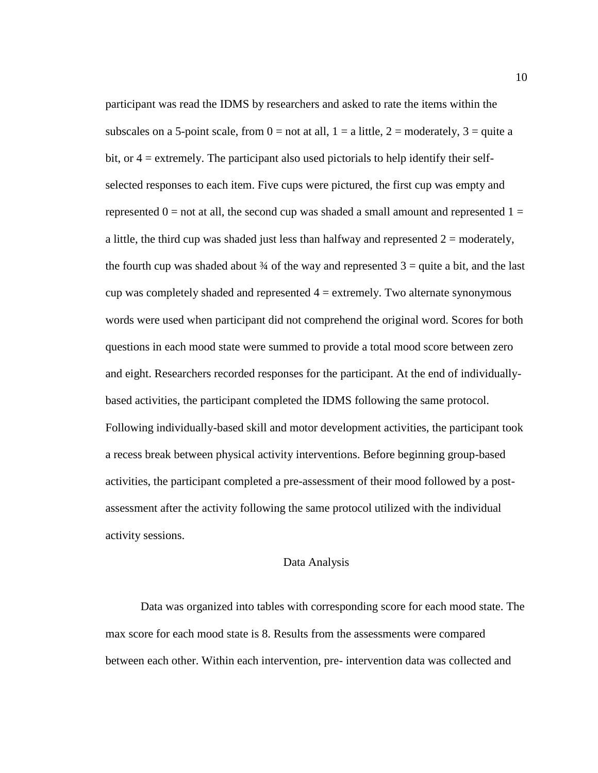participant was read the IDMS by researchers and asked to rate the items within the subscales on a 5-point scale, from  $0 =$  not at all,  $1 =$  a little,  $2 =$  moderately,  $3 =$  quite a bit, or 4 = extremely. The participant also used pictorials to help identify their selfselected responses to each item. Five cups were pictured, the first cup was empty and represented  $0 =$  not at all, the second cup was shaded a small amount and represented  $1 =$ a little, the third cup was shaded just less than halfway and represented  $2 =$  moderately, the fourth cup was shaded about  $\frac{3}{4}$  of the way and represented  $3 =$  quite a bit, and the last cup was completely shaded and represented  $4 =$  extremely. Two alternate synonymous words were used when participant did not comprehend the original word. Scores for both questions in each mood state were summed to provide a total mood score between zero and eight. Researchers recorded responses for the participant. At the end of individuallybased activities, the participant completed the IDMS following the same protocol. Following individually-based skill and motor development activities, the participant took a recess break between physical activity interventions. Before beginning group-based activities, the participant completed a pre-assessment of their mood followed by a postassessment after the activity following the same protocol utilized with the individual activity sessions.

#### Data Analysis

Data was organized into tables with corresponding score for each mood state. The max score for each mood state is 8. Results from the assessments were compared between each other. Within each intervention, pre- intervention data was collected and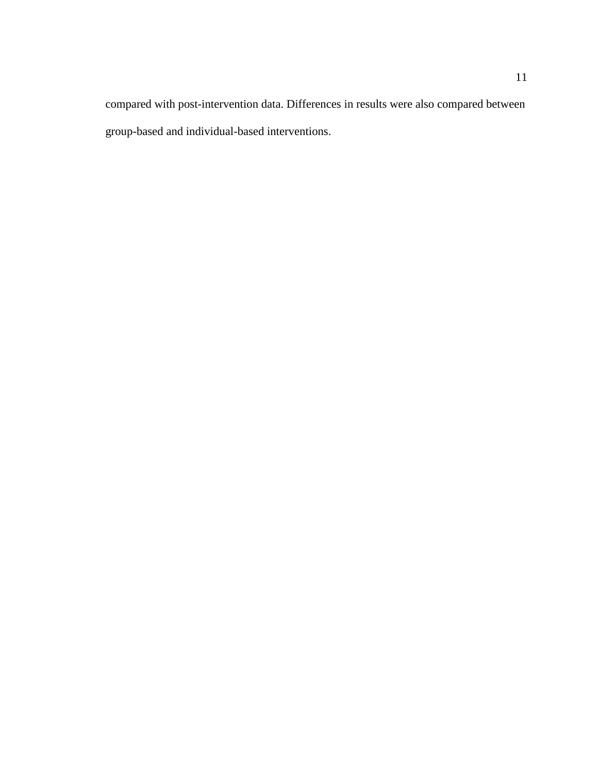compared with post-intervention data. Differences in results were also compared between group-based and individual-based interventions.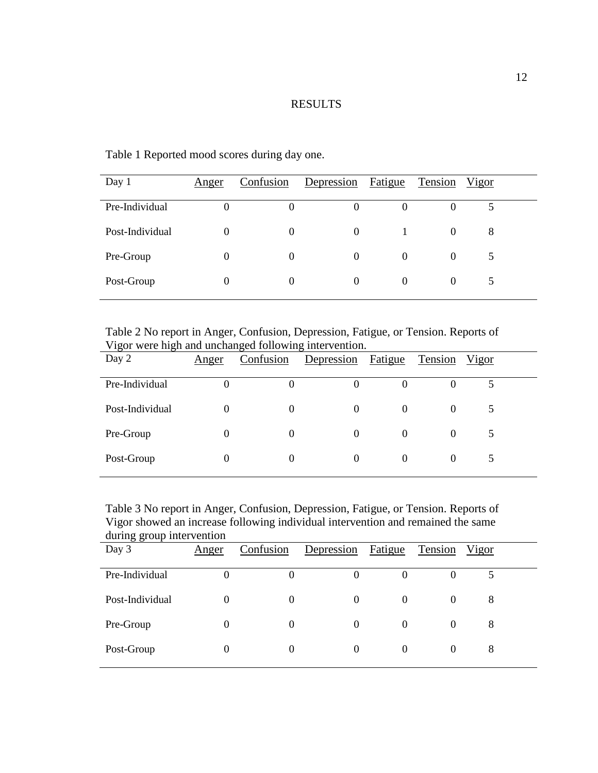# RESULTS

| Day 1           | <u>Anger</u> | Confusion | Depression | Fatigue  | Tension  | <u>Vigor</u> |  |
|-----------------|--------------|-----------|------------|----------|----------|--------------|--|
| Pre-Individual  |              | $_{0}$    |            |          |          |              |  |
| Post-Individual | $\Omega$     | $\Omega$  | $\Omega$   |          | $\Omega$ | 8            |  |
| Pre-Group       | 0            | $\Omega$  | $\Omega$   | $\Omega$ | $\Omega$ |              |  |
| Post-Group      | 0            | $\Omega$  | $\theta$   | $\theta$ | $\Omega$ |              |  |

<span id="page-15-0"></span>Table 1 Reported mood scores during day one.

<span id="page-15-1"></span>Table 2 No report in Anger, Confusion, Depression, Fatigue, or Tension. Reports of Vigor were high and unchanged following intervention.

| Day 2           | <u>Anger</u> | Confusion | Depression | Fatigue  | Tension  | Vigor |  |
|-----------------|--------------|-----------|------------|----------|----------|-------|--|
| Pre-Individual  |              |           |            | $\theta$ |          |       |  |
| Post-Individual | $\theta$     | $\theta$  | $\Omega$   | $\theta$ | 0        |       |  |
| Pre-Group       | $\Omega$     | $\theta$  | $\Omega$   | $\theta$ | $\theta$ |       |  |
| Post-Group      | 0            | 0         | $\theta$   | $\Omega$ | 0        |       |  |

<span id="page-15-2"></span>Table 3 No report in Anger, Confusion, Depression, Fatigue, or Tension. Reports of Vigor showed an increase following individual intervention and remained the same during group intervention

| aaning group muu vention<br>Day 3 | Anger | Confusion | Depression | Fatigue  | Tension  | <u>Vigor</u> |  |
|-----------------------------------|-------|-----------|------------|----------|----------|--------------|--|
| Pre-Individual                    |       | O         |            | $\theta$ | 0        |              |  |
| Post-Individual                   |       | $\theta$  | $\Omega$   | $\Omega$ | $\Omega$ | 8            |  |
| Pre-Group                         |       | $\theta$  | $\Omega$   | $\Omega$ | $\Omega$ | 8            |  |
| Post-Group                        |       | 0         | $\theta$   | 0        | $\theta$ | 8            |  |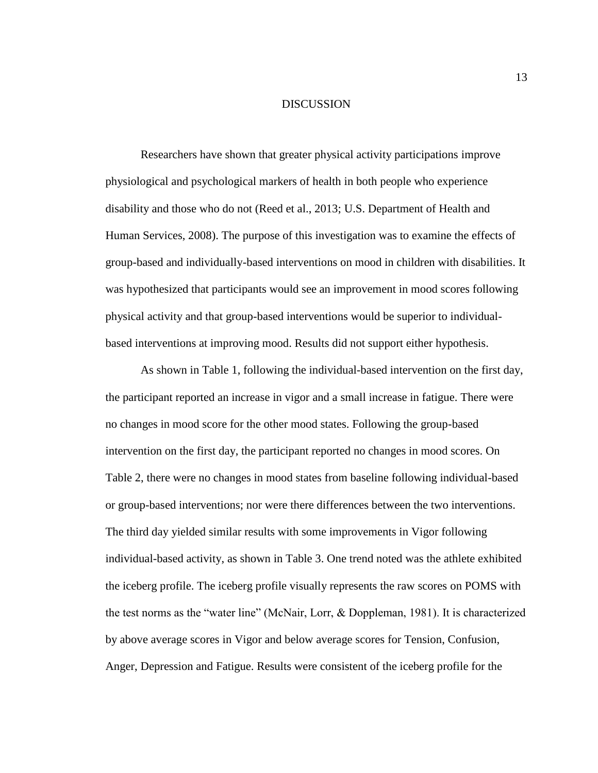#### DISCUSSION

<span id="page-16-0"></span>Researchers have shown that greater physical activity participations improve physiological and psychological markers of health in both people who experience disability and those who do not (Reed et al., 2013; U.S. Department of Health and Human Services, 2008). The purpose of this investigation was to examine the effects of group-based and individually-based interventions on mood in children with disabilities. It was hypothesized that participants would see an improvement in mood scores following physical activity and that group-based interventions would be superior to individualbased interventions at improving mood. Results did not support either hypothesis.

As shown in Table 1, following the individual-based intervention on the first day, the participant reported an increase in vigor and a small increase in fatigue. There were no changes in mood score for the other mood states. Following the group-based intervention on the first day, the participant reported no changes in mood scores. On Table 2, there were no changes in mood states from baseline following individual-based or group-based interventions; nor were there differences between the two interventions. The third day yielded similar results with some improvements in Vigor following individual-based activity, as shown in Table 3. One trend noted was the athlete exhibited the iceberg profile. The iceberg profile visually represents the raw scores on POMS with the test norms as the "water line" (McNair, Lorr, & Doppleman, 1981). It is characterized by above average scores in Vigor and below average scores for Tension, Confusion, Anger, Depression and Fatigue. Results were consistent of the iceberg profile for the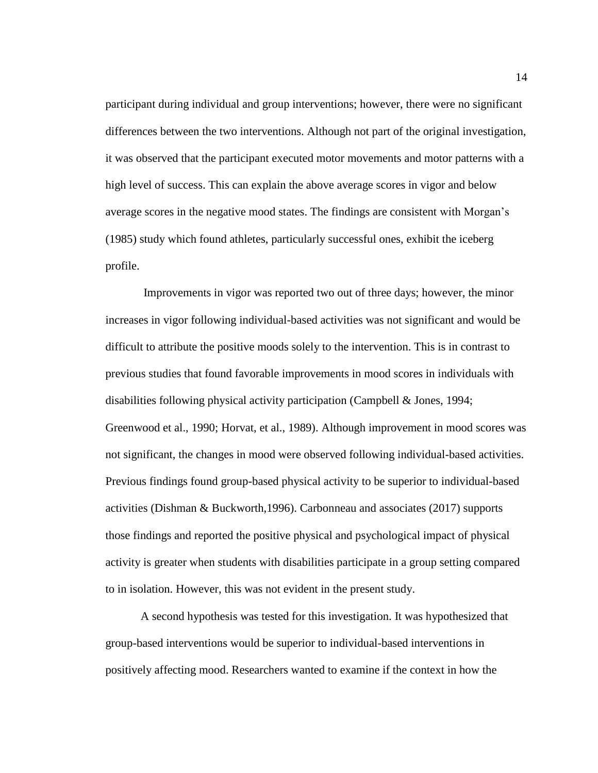participant during individual and group interventions; however, there were no significant differences between the two interventions. Although not part of the original investigation, it was observed that the participant executed motor movements and motor patterns with a high level of success. This can explain the above average scores in vigor and below average scores in the negative mood states. The findings are consistent with Morgan's (1985) study which found athletes, particularly successful ones, exhibit the iceberg profile.

Improvements in vigor was reported two out of three days; however, the minor increases in vigor following individual-based activities was not significant and would be difficult to attribute the positive moods solely to the intervention. This is in contrast to previous studies that found favorable improvements in mood scores in individuals with disabilities following physical activity participation (Campbell & Jones, 1994; Greenwood et al., 1990; Horvat, et al., 1989). Although improvement in mood scores was not significant, the changes in mood were observed following individual-based activities. Previous findings found group-based physical activity to be superior to individual-based activities (Dishman & Buckworth,1996). Carbonneau and associates (2017) supports those findings and reported the positive physical and psychological impact of physical activity is greater when students with disabilities participate in a group setting compared to in isolation. However, this was not evident in the present study.

A second hypothesis was tested for this investigation. It was hypothesized that group-based interventions would be superior to individual-based interventions in positively affecting mood. Researchers wanted to examine if the context in how the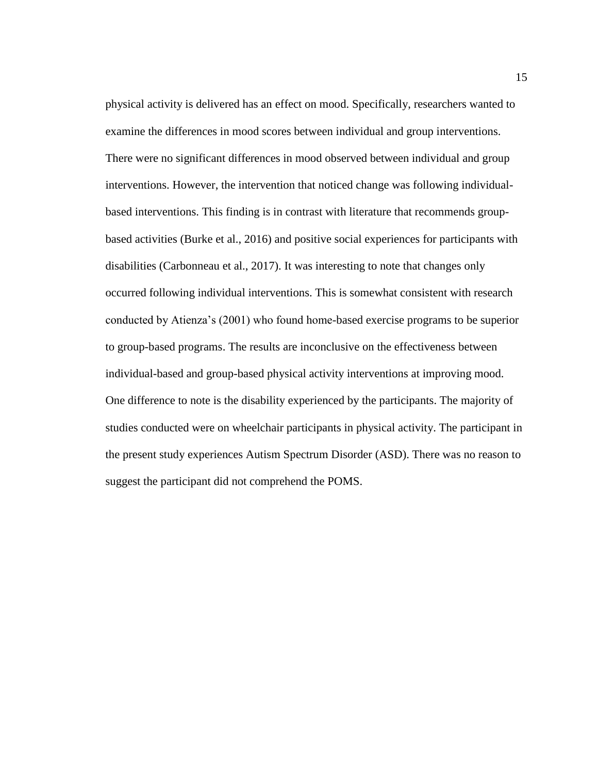physical activity is delivered has an effect on mood. Specifically, researchers wanted to examine the differences in mood scores between individual and group interventions. There were no significant differences in mood observed between individual and group interventions. However, the intervention that noticed change was following individualbased interventions. This finding is in contrast with literature that recommends groupbased activities (Burke et al., 2016) and positive social experiences for participants with disabilities (Carbonneau et al., 2017). It was interesting to note that changes only occurred following individual interventions. This is somewhat consistent with research conducted by Atienza's (2001) who found home-based exercise programs to be superior to group-based programs. The results are inconclusive on the effectiveness between individual-based and group-based physical activity interventions at improving mood. One difference to note is the disability experienced by the participants. The majority of studies conducted were on wheelchair participants in physical activity. The participant in the present study experiences Autism Spectrum Disorder (ASD). There was no reason to suggest the participant did not comprehend the POMS.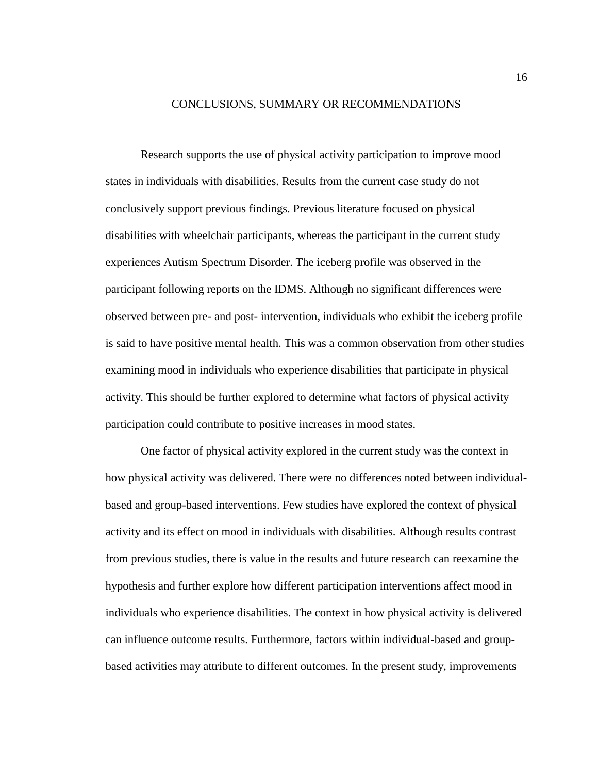#### CONCLUSIONS, SUMMARY OR RECOMMENDATIONS

<span id="page-19-0"></span>Research supports the use of physical activity participation to improve mood states in individuals with disabilities. Results from the current case study do not conclusively support previous findings. Previous literature focused on physical disabilities with wheelchair participants, whereas the participant in the current study experiences Autism Spectrum Disorder. The iceberg profile was observed in the participant following reports on the IDMS. Although no significant differences were observed between pre- and post- intervention, individuals who exhibit the iceberg profile is said to have positive mental health. This was a common observation from other studies examining mood in individuals who experience disabilities that participate in physical activity. This should be further explored to determine what factors of physical activity participation could contribute to positive increases in mood states.

One factor of physical activity explored in the current study was the context in how physical activity was delivered. There were no differences noted between individualbased and group-based interventions. Few studies have explored the context of physical activity and its effect on mood in individuals with disabilities. Although results contrast from previous studies, there is value in the results and future research can reexamine the hypothesis and further explore how different participation interventions affect mood in individuals who experience disabilities. The context in how physical activity is delivered can influence outcome results. Furthermore, factors within individual-based and groupbased activities may attribute to different outcomes. In the present study, improvements

16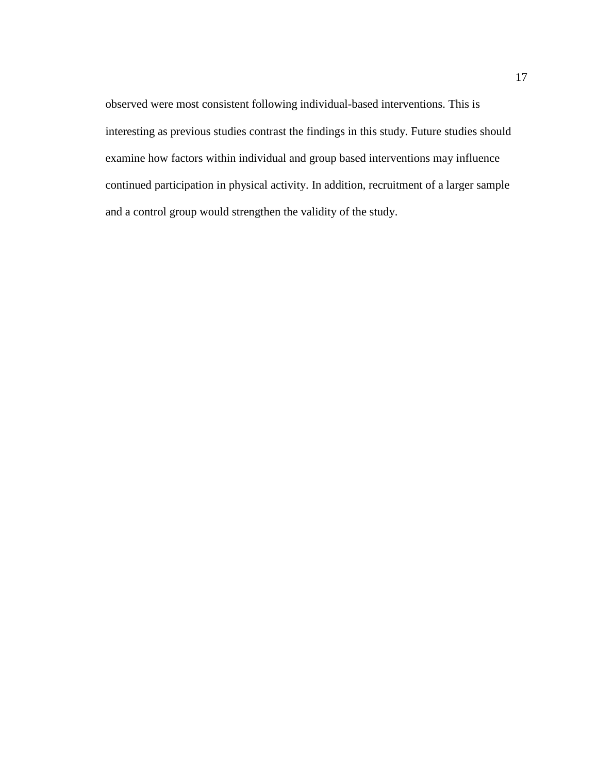observed were most consistent following individual-based interventions. This is interesting as previous studies contrast the findings in this study. Future studies should examine how factors within individual and group based interventions may influence continued participation in physical activity. In addition, recruitment of a larger sample and a control group would strengthen the validity of the study.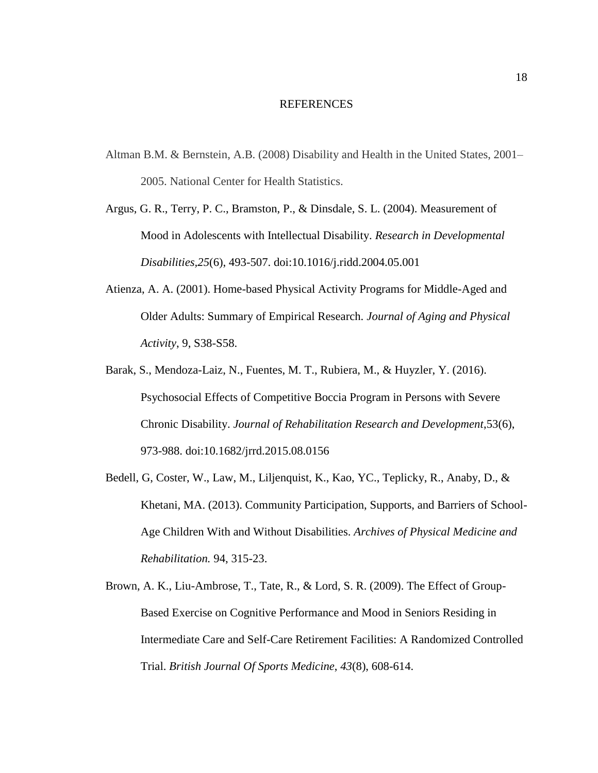#### REFERENCES

- <span id="page-21-0"></span>Altman B.M. & Bernstein, A.B. (2008) Disability and Health in the United States, 2001– 2005. National Center for Health Statistics.
- Argus, G. R., Terry, P. C., Bramston, P., & Dinsdale, S. L. (2004). Measurement of Mood in Adolescents with Intellectual Disability. *Research in Developmental Disabilities,25*(6), 493-507. doi:10.1016/j.ridd.2004.05.001
- Atienza, A. A. (2001). Home-based Physical Activity Programs for Middle-Aged and Older Adults: Summary of Empirical Research. *Journal of Aging and Physical Activity*, 9, S38-S58.
- Barak, S., Mendoza-Laiz, N., Fuentes, M. T., Rubiera, M., & Huyzler, Y. (2016). Psychosocial Effects of Competitive Boccia Program in Persons with Severe Chronic Disability. *Journal of Rehabilitation Research and Development*,53(6), 973-988. doi:10.1682/jrrd.2015.08.0156
- Bedell, G, Coster, W., Law, M., Liljenquist, K., Kao, YC., Teplicky, R., Anaby, D., & Khetani, MA. (2013). Community Participation, Supports, and Barriers of School-Age Children With and Without Disabilities. *Archives of Physical Medicine and Rehabilitation.* 94, 315-23.
- Brown, A. K., Liu-Ambrose, T., Tate, R., & Lord, S. R. (2009). The Effect of Group-Based Exercise on Cognitive Performance and Mood in Seniors Residing in Intermediate Care and Self-Care Retirement Facilities: A Randomized Controlled Trial. *British Journal Of Sports Medicine*, *43*(8), 608-614.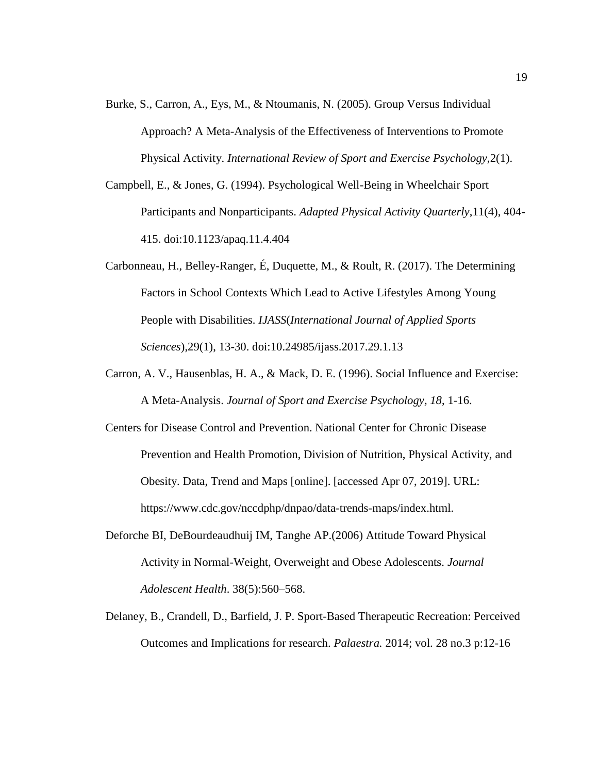- Burke, S., Carron, A., Eys, M., & Ntoumanis, N. (2005). Group Versus Individual Approach? A Meta-Analysis of the Effectiveness of Interventions to Promote Physical Activity. *International Review of Sport and Exercise Psychology*,2(1).
- Campbell, E., & Jones, G. (1994). Psychological Well-Being in Wheelchair Sport Participants and Nonparticipants. *Adapted Physical Activity Quarterly*,11(4), 404- 415. doi:10.1123/apaq.11.4.404
- Carbonneau, H., Belley-Ranger, É, Duquette, M., & Roult, R. (2017). The Determining Factors in School Contexts Which Lead to Active Lifestyles Among Young People with Disabilities. *IJASS*(*International Journal of Applied Sports Sciences*),29(1), 13-30. doi:10.24985/ijass.2017.29.1.13
- Carron, A. V., Hausenblas, H. A., & Mack, D. E. (1996). Social Influence and Exercise: A Meta-Analysis. *Journal of Sport and Exercise Psychology, 18*, 1-16.
- Centers for Disease Control and Prevention. National Center for Chronic Disease Prevention and Health Promotion, Division of Nutrition, Physical Activity, and Obesity. Data, Trend and Maps [online]. [accessed Apr 07, 2019]. URL: https://www.cdc.gov/nccdphp/dnpao/data-trends-maps/index.html.
- Deforche BI, DeBourdeaudhuij IM, Tanghe AP.(2006) Attitude Toward Physical Activity in Normal-Weight, Overweight and Obese Adolescents. *Journal Adolescent Health*. 38(5):560–568.
- Delaney, B., Crandell, D., Barfield, J. P. Sport-Based Therapeutic Recreation: Perceived Outcomes and Implications for research. *Palaestra.* 2014; vol. 28 no.3 p:12-16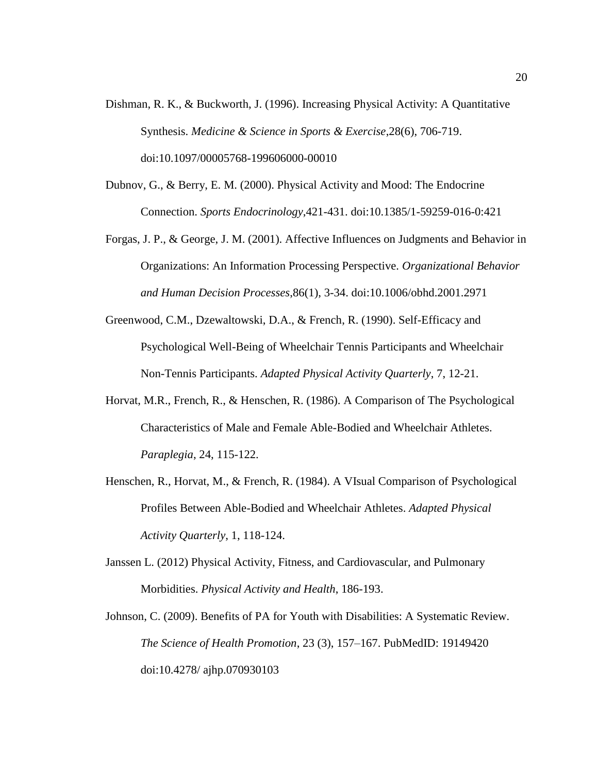- Dishman, R. K., & Buckworth, J. (1996). Increasing Physical Activity: A Quantitative Synthesis. *Medicine & Science in Sports & Exercise*,28(6), 706-719. doi:10.1097/00005768-199606000-00010
- Dubnov, G., & Berry, E. M. (2000). Physical Activity and Mood: The Endocrine Connection. *Sports Endocrinology*,421-431. doi:10.1385/1-59259-016-0:421
- Forgas, J. P., & George, J. M. (2001). Affective Influences on Judgments and Behavior in Organizations: An Information Processing Perspective*. Organizational Behavior and Human Decision Processes*,86(1), 3-34. doi:10.1006/obhd.2001.2971
- Greenwood, C.M., Dzewaltowski, D.A., & French, R. (1990). Self-Efficacy and Psychological Well-Being of Wheelchair Tennis Participants and Wheelchair Non-Tennis Participants. *Adapted Physical Activity Quarterly*, 7, 12-21.
- Horvat, M.R., French, R., & Henschen, R. (1986). A Comparison of The Psychological Characteristics of Male and Female Able-Bodied and Wheelchair Athletes. *Paraplegia*, 24, 115-122.
- Henschen, R., Horvat, M., & French, R. (1984). A VIsual Comparison of Psychological Profiles Between Able-Bodied and Wheelchair Athletes. *Adapted Physical Activity Quarterly*, 1, 118-124.
- Janssen L. (2012) Physical Activity, Fitness, and Cardiovascular, and Pulmonary Morbidities. *Physical Activity and Health*, 186-193.
- Johnson, C. (2009). Benefits of PA for Youth with Disabilities: A Systematic Review. *The Science of Health Promotion*, 23 (3), 157–167. PubMedID: 19149420 doi:10.4278/ ajhp.070930103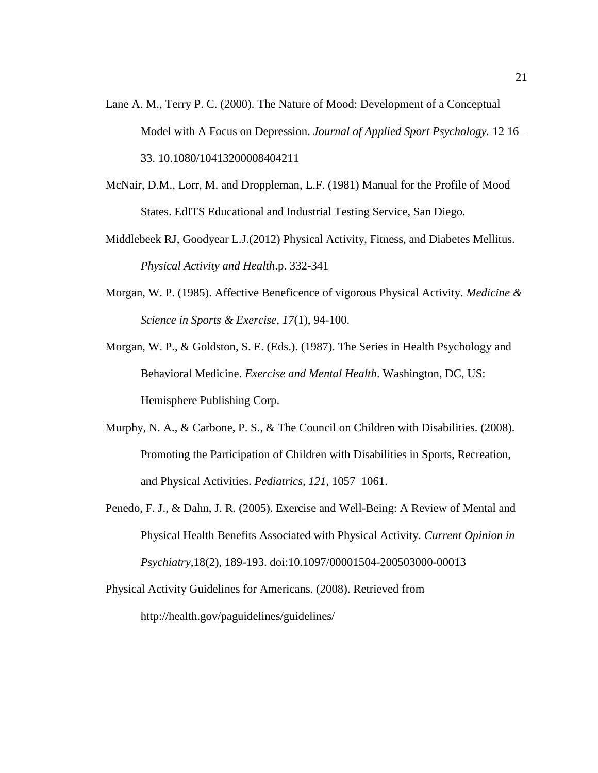- Lane A. M., Terry P. C. (2000). The Nature of Mood: Development of a Conceptual Model with A Focus on Depression. *Journal of Applied Sport Psychology.* 12 16– 33. 10.1080/10413200008404211
- McNair, D.M., Lorr, M. and Droppleman, L.F. (1981) Manual for the Profile of Mood States. EdITS Educational and Industrial Testing Service, San Diego.
- Middlebeek RJ, Goodyear L.J.(2012) Physical Activity, Fitness, and Diabetes Mellitus. *Physical Activity and Health*.p. 332-341
- Morgan, W. P. (1985). Affective Beneficence of vigorous Physical Activity. *Medicine & Science in Sports & Exercise, 17*(1), 94-100.
- Morgan, W. P., & Goldston, S. E. (Eds.). (1987). The Series in Health Psychology and Behavioral Medicine. *Exercise and Mental Health*. Washington, DC, US: Hemisphere Publishing Corp.
- Murphy, N. A., & Carbone, P. S., & The Council on Children with Disabilities. (2008). Promoting the Participation of Children with Disabilities in Sports, Recreation, and Physical Activities. *Pediatrics, 121*, 1057–1061.
- Penedo, F. J., & Dahn, J. R. (2005). Exercise and Well-Being: A Review of Mental and Physical Health Benefits Associated with Physical Activity. *Current Opinion in Psychiatry*,18(2), 189-193. doi:10.1097/00001504-200503000-00013
- Physical Activity Guidelines for Americans. (2008). Retrieved from http://health.gov/paguidelines/guidelines/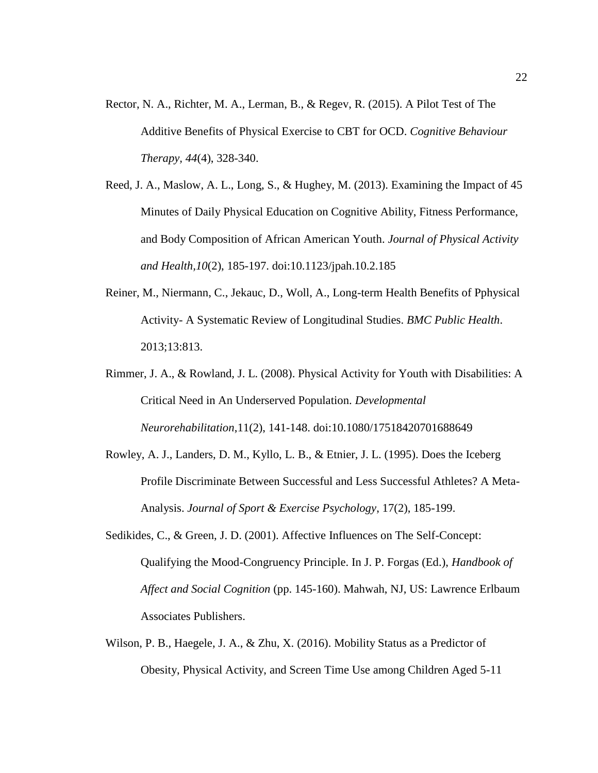- Rector, N. A., Richter, M. A., Lerman, B., & Regev, R. (2015). A Pilot Test of The Additive Benefits of Physical Exercise to CBT for OCD. *Cognitive Behaviour Therapy, 44*(4), 328-340.
- Reed, J. A., Maslow, A. L., Long, S., & Hughey, M. (2013). Examining the Impact of 45 Minutes of Daily Physical Education on Cognitive Ability, Fitness Performance, and Body Composition of African American Youth. *Journal of Physical Activity and Health,10*(2), 185-197. doi:10.1123/jpah.10.2.185
- Reiner, M., Niermann, C., Jekauc, D., Woll, A., Long-term Health Benefits of Pphysical Activity- A Systematic Review of Longitudinal Studies. *BMC Public Health*. 2013;13:813.
- Rimmer, J. A., & Rowland, J. L. (2008). Physical Activity for Youth with Disabilities: A Critical Need in An Underserved Population. *Developmental Neurorehabilitation*,11(2), 141-148. doi:10.1080/17518420701688649
- Rowley, A. J., Landers, D. M., Kyllo, L. B., & Etnier, J. L. (1995). Does the Iceberg Profile Discriminate Between Successful and Less Successful Athletes? A Meta-Analysis. *Journal of Sport & Exercise Psychology*, 17(2), 185-199.
- Sedikides, C., & Green, J. D. (2001). Affective Influences on The Self-Concept: Qualifying the Mood-Congruency Principle. In J. P. Forgas (Ed.), *Handbook of Affect and Social Cognition* (pp. 145-160). Mahwah, NJ, US: Lawrence Erlbaum Associates Publishers.
- Wilson, P. B., Haegele, J. A., & Zhu, X. (2016). Mobility Status as a Predictor of Obesity, Physical Activity, and Screen Time Use among Children Aged 5-11